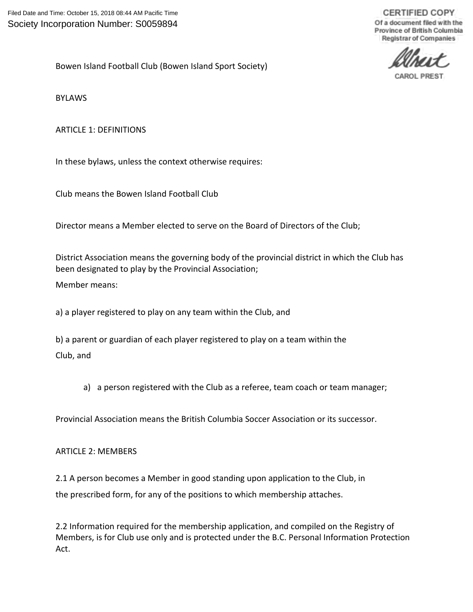**CERTIFIED COPY** Of a document filed with the Province of British Columbia Registrar of Companies

**CAROL PREST** 

Bowen Island Football Club (Bowen Island Sport Society)

BYLAWS

ARTICLE 1: DEFINITIONS

In these bylaws, unless the context otherwise requires:

Club means the Bowen Island Football Club

Director means a Member elected to serve on the Board of Directors of the Club;

District Association means the governing body of the provincial district in which the Club has been designated to play by the Provincial Association;

Member means:

a) a player registered to play on any team within the Club, and

b) a parent or guardian of each player registered to play on a team within the Club, and

a) a person registered with the Club as a referee, team coach or team manager;

Provincial Association means the British Columbia Soccer Association or its successor.

ARTICLE 2: MEMBERS

2.1 A person becomes a Member in good standing upon application to the Club, in the prescribed form, for any of the positions to which membership attaches.

2.2 Information required for the membership application, and compiled on the Registry of Members, is for Club use only and is protected under the B.C. Personal Information Protection Act.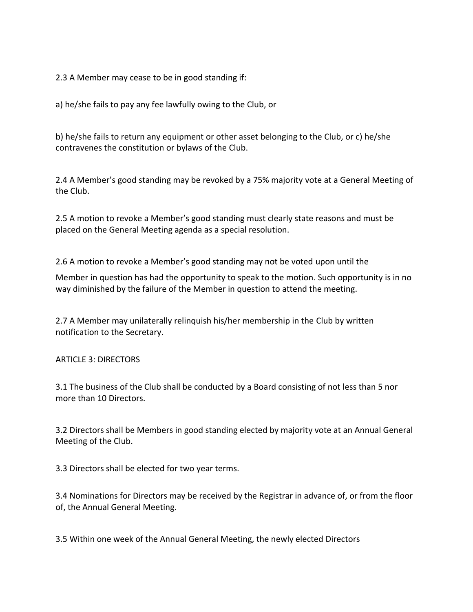2.3 A Member may cease to be in good standing if:

a) he/she fails to pay any fee lawfully owing to the Club, or

b) he/she fails to return any equipment or other asset belonging to the Club, or c) he/she contravenes the constitution or bylaws of the Club.

2.4 A Member's good standing may be revoked by a 75% majority vote at a General Meeting of the Club.

2.5 A motion to revoke a Member's good standing must clearly state reasons and must be placed on the General Meeting agenda as a special resolution.

2.6 A motion to revoke a Member's good standing may not be voted upon until the

Member in question has had the opportunity to speak to the motion. Such opportunity is in no way diminished by the failure of the Member in question to attend the meeting.

2.7 A Member may unilaterally relinquish his/her membership in the Club by written notification to the Secretary.

ARTICLE 3: DIRECTORS

3.1 The business of the Club shall be conducted by a Board consisting of not less than 5 nor more than 10 Directors.

3.2 Directors shall be Members in good standing elected by majority vote at an Annual General Meeting of the Club.

3.3 Directors shall be elected for two year terms.

3.4 Nominations for Directors may be received by the Registrar in advance of, or from the floor of, the Annual General Meeting.

3.5 Within one week of the Annual General Meeting, the newly elected Directors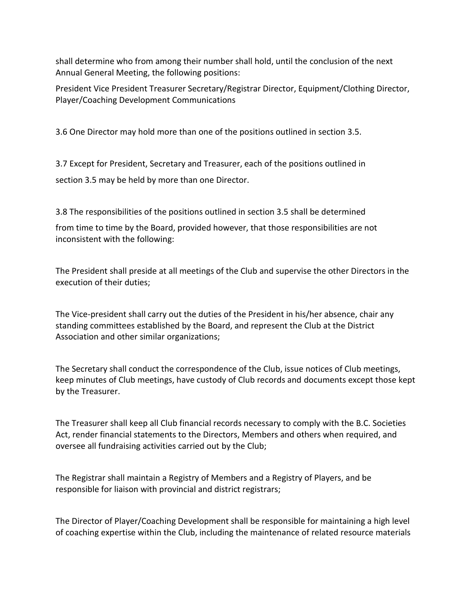shall determine who from among their number shall hold, until the conclusion of the next Annual General Meeting, the following positions:

President Vice President Treasurer Secretary/Registrar Director, Equipment/Clothing Director, Player/Coaching Development Communications

3.6 One Director may hold more than one of the positions outlined in section 3.5.

3.7 Except for President, Secretary and Treasurer, each of the positions outlined in section 3.5 may be held by more than one Director.

3.8 The responsibilities of the positions outlined in section 3.5 shall be determined

from time to time by the Board, provided however, that those responsibilities are not inconsistent with the following:

The President shall preside at all meetings of the Club and supervise the other Directors in the execution of their duties;

The Vice-president shall carry out the duties of the President in his/her absence, chair any standing committees established by the Board, and represent the Club at the District Association and other similar organizations;

The Secretary shall conduct the correspondence of the Club, issue notices of Club meetings, keep minutes of Club meetings, have custody of Club records and documents except those kept by the Treasurer.

The Treasurer shall keep all Club financial records necessary to comply with the B.C. Societies Act, render financial statements to the Directors, Members and others when required, and oversee all fundraising activities carried out by the Club;

The Registrar shall maintain a Registry of Members and a Registry of Players, and be responsible for liaison with provincial and district registrars;

The Director of Player/Coaching Development shall be responsible for maintaining a high level of coaching expertise within the Club, including the maintenance of related resource materials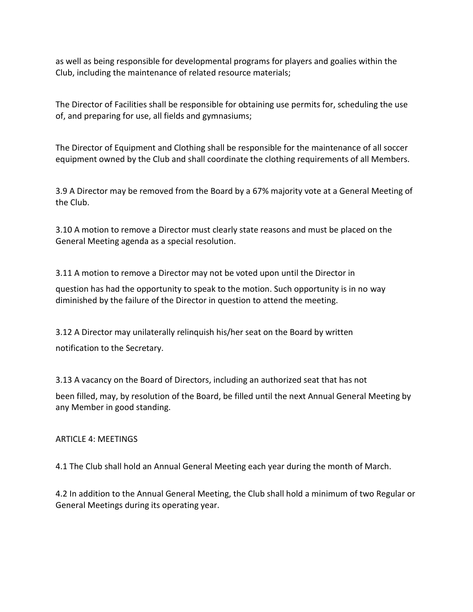as well as being responsible for developmental programs for players and goalies within the Club, including the maintenance of related resource materials;

The Director of Facilities shall be responsible for obtaining use permits for, scheduling the use of, and preparing for use, all fields and gymnasiums;

The Director of Equipment and Clothing shall be responsible for the maintenance of all soccer equipment owned by the Club and shall coordinate the clothing requirements of all Members.

3.9 A Director may be removed from the Board by a 67% majority vote at a General Meeting of the Club.

3.10 A motion to remove a Director must clearly state reasons and must be placed on the General Meeting agenda as a special resolution.

3.11 A motion to remove a Director may not be voted upon until the Director in

question has had the opportunity to speak to the motion. Such opportunity is in no way diminished by the failure of the Director in question to attend the meeting.

3.12 A Director may unilaterally relinquish his/her seat on the Board by written notification to the Secretary.

3.13 A vacancy on the Board of Directors, including an authorized seat that has not

been filled, may, by resolution of the Board, be filled until the next Annual General Meeting by any Member in good standing.

#### ARTICLE 4: MEETINGS

4.1 The Club shall hold an Annual General Meeting each year during the month of March.

4.2 In addition to the Annual General Meeting, the Club shall hold a minimum of two Regular or General Meetings during its operating year.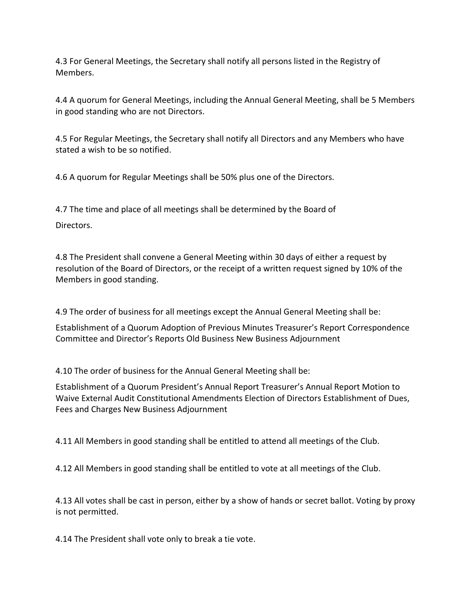4.3 For General Meetings, the Secretary shall notify all persons listed in the Registry of Members.

4.4 A quorum for General Meetings, including the Annual General Meeting, shall be 5 Members in good standing who are not Directors.

4.5 For Regular Meetings, the Secretary shall notify all Directors and any Members who have stated a wish to be so notified.

4.6 A quorum for Regular Meetings shall be 50% plus one of the Directors.

4.7 The time and place of all meetings shall be determined by the Board of Directors.

4.8 The President shall convene a General Meeting within 30 days of either a request by resolution of the Board of Directors, or the receipt of a written request signed by 10% of the Members in good standing.

4.9 The order of business for all meetings except the Annual General Meeting shall be:

Establishment of a Quorum Adoption of Previous Minutes Treasurer's Report Correspondence Committee and Director's Reports Old Business New Business Adjournment

4.10 The order of business for the Annual General Meeting shall be:

Establishment of a Quorum President's Annual Report Treasurer's Annual Report Motion to Waive External Audit Constitutional Amendments Election of Directors Establishment of Dues, Fees and Charges New Business Adjournment

4.11 All Members in good standing shall be entitled to attend all meetings of the Club.

4.12 All Members in good standing shall be entitled to vote at all meetings of the Club.

4.13 All votes shall be cast in person, either by a show of hands or secret ballot. Voting by proxy is not permitted.

4.14 The President shall vote only to break a tie vote.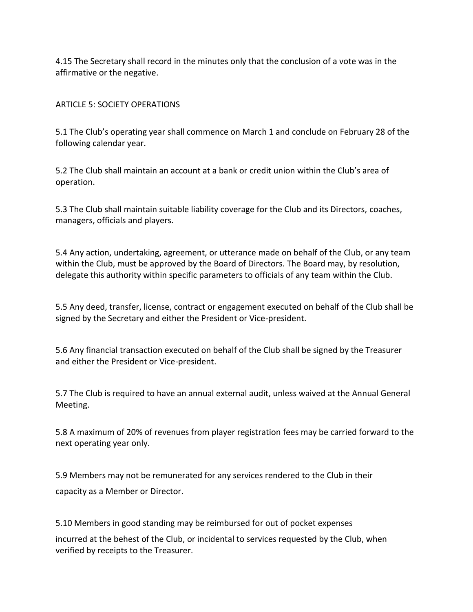4.15 The Secretary shall record in the minutes only that the conclusion of a vote was in the affirmative or the negative.

### ARTICLE 5: SOCIETY OPERATIONS

5.1 The Club's operating year shall commence on March 1 and conclude on February 28 of the following calendar year.

5.2 The Club shall maintain an account at a bank or credit union within the Club's area of operation.

5.3 The Club shall maintain suitable liability coverage for the Club and its Directors, coaches, managers, officials and players.

5.4 Any action, undertaking, agreement, or utterance made on behalf of the Club, or any team within the Club, must be approved by the Board of Directors. The Board may, by resolution, delegate this authority within specific parameters to officials of any team within the Club.

5.5 Any deed, transfer, license, contract or engagement executed on behalf of the Club shall be signed by the Secretary and either the President or Vice-president.

5.6 Any financial transaction executed on behalf of the Club shall be signed by the Treasurer and either the President or Vice-president.

5.7 The Club is required to have an annual external audit, unless waived at the Annual General Meeting.

5.8 A maximum of 20% of revenues from player registration fees may be carried forward to the next operating year only.

5.9 Members may not be remunerated for any services rendered to the Club in their capacity as a Member or Director.

5.10 Members in good standing may be reimbursed for out of pocket expenses incurred at the behest of the Club, or incidental to services requested by the Club, when verified by receipts to the Treasurer.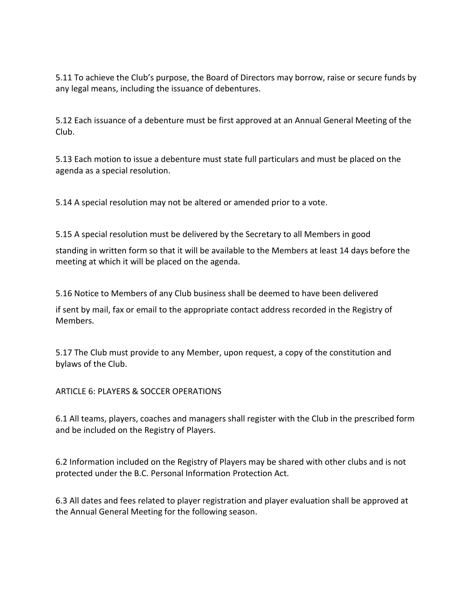5.11 To achieve the Club's purpose, the Board of Directors may borrow, raise or secure funds by any legal means, including the issuance of debentures.

5.12 Each issuance of a debenture must be first approved at an Annual General Meeting of the Club.

5.13 Each motion to issue a debenture must state full particulars and must be placed on the agenda as a special resolution.

5.14 A special resolution may not be altered or amended prior to a vote.

5.15 A special resolution must be delivered by the Secretary to all Members in good standing in written form so that it will be available to the Members at least 14 days before the

5.16 Notice to Members of any Club business shall be deemed to have been delivered

if sent by mail, fax or email to the appropriate contact address recorded in the Registry of Members.

5.17 The Club must provide to any Member, upon request, a copy of the constitution and bylaws of the Club.

ARTICLE 6: PLAYERS & SOCCER OPERATIONS

meeting at which it will be placed on the agenda.

6.1 All teams, players, coaches and managers shall register with the Club in the prescribed form and be included on the Registry of Players.

6.2 Information included on the Registry of Players may be shared with other clubs and is not protected under the B.C. Personal Information Protection Act.

6.3 All dates and fees related to player registration and player evaluation shall be approved at the Annual General Meeting for the following season.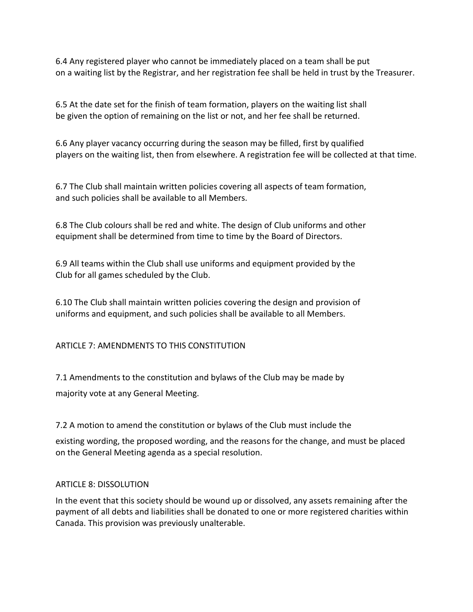6.4 Any registered player who cannot be immediately placed on a team shall be put on a waiting list by the Registrar, and her registration fee shall be held in trust by the Treasurer.

6.5 At the date set for the finish of team formation, players on the waiting list shall be given the option of remaining on the list or not, and her fee shall be returned.

6.6 Any player vacancy occurring during the season may be filled, first by qualified players on the waiting list, then from elsewhere. A registration fee will be collected at that time.

6.7 The Club shall maintain written policies covering all aspects of team formation, and such policies shall be available to all Members.

6.8 The Club colours shall be red and white. The design of Club uniforms and other equipment shall be determined from time to time by the Board of Directors.

6.9 All teams within the Club shall use uniforms and equipment provided by the Club for all games scheduled by the Club.

6.10 The Club shall maintain written policies covering the design and provision of uniforms and equipment, and such policies shall be available to all Members.

# ARTICLE 7: AMENDMENTS TO THIS CONSTITUTION

7.1 Amendments to the constitution and bylaws of the Club may be made by majority vote at any General Meeting.

7.2 A motion to amend the constitution or bylaws of the Club must include the

existing wording, the proposed wording, and the reasons for the change, and must be placed on the General Meeting agenda as a special resolution.

# ARTICLE 8: DISSOLUTION

In the event that this society should be wound up or dissolved, any assets remaining after the payment of all debts and liabilities shall be donated to one or more registered charities within Canada. This provision was previously unalterable.